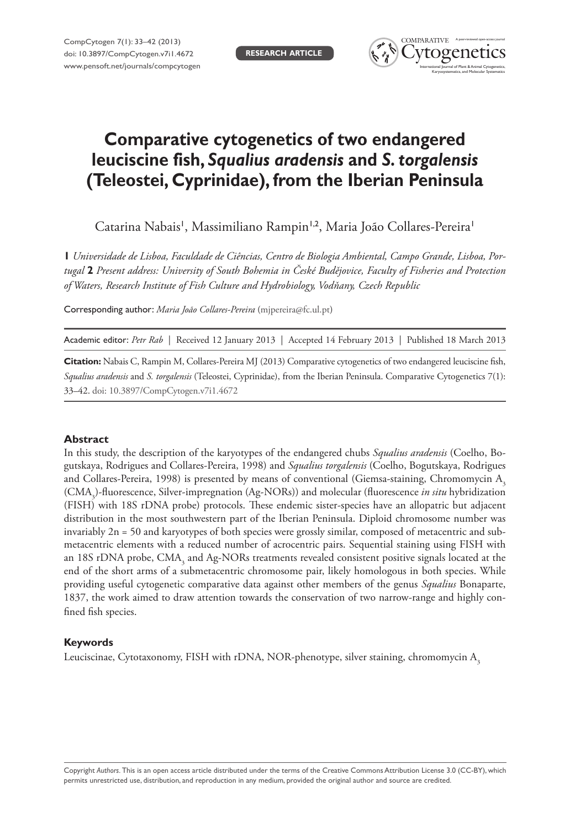

# **Comparative cytogenetics of two endangered leuciscine fish,** *Squalius aradensis* **and** *S. torgalensis*  **(Teleostei, Cyprinidae), from the Iberian Peninsula**

Catarina Nabais', Massimiliano Rampin'<sup>,2</sup>, Maria João Collares-Pereira'

**1** *Universidade de Lisboa, Faculdade de Ciências, Centro de Biologia Ambiental, Campo Grande, Lisboa, Portugal* **2** *Present address: University of South Bohemia in České Budějovice, Faculty of Fisheries and Protection of Waters, Research Institute of Fish Culture and Hydrobiology, Vodňany, Czech Republic*

Corresponding author: *Maria João Collares-Pereira* ([mjpereira@fc.ul.pt\)](mailto:mjpereira@fc.ul.pt)

Academic editor: *Petr Rab* | Received 12 January 2013 | Accepted 14 February 2013 | Published 18 March 2013

**Citation:** Nabais C, Rampin M, Collares-Pereira MJ (2013) Comparative cytogenetics of two endangered leuciscine fish, *Squalius aradensis* and *S. torgalensis* (Teleostei, Cyprinidae), from the Iberian Peninsula. Comparative Cytogenetics 7(1): 33–42. [doi: 10.3897/CompCytogen.v7i1.4672](http://dx.doi.org/10.3897/CompCytogen.v7i1.4672)

#### **Abstract**

In this study, the description of the karyotypes of the endangered chubs *Squalius aradensis* (Coelho, Bogutskaya, Rodrigues and Collares-Pereira, 1998) and *Squalius torgalensis* (Coelho, Bogutskaya, Rodrigues and Collares-Pereira, 1998) is presented by means of conventional (Giemsa-staining, Chromomycin  $A<sub>3</sub>$ (CMA3 )-fluorescence, Silver-impregnation (Ag-NORs)) and molecular (fluorescence *in situ* hybridization (FISH) with 18S rDNA probe) protocols. These endemic sister-species have an allopatric but adjacent distribution in the most southwestern part of the Iberian Peninsula. Diploid chromosome number was invariably 2n = 50 and karyotypes of both species were grossly similar, composed of metacentric and submetacentric elements with a reduced number of acrocentric pairs. Sequential staining using FISH with an 18S rDNA probe, CMA<sub>3</sub> and Ag-NORs treatments revealed consistent positive signals located at the end of the short arms of a submetacentric chromosome pair, likely homologous in both species. While providing useful cytogenetic comparative data against other members of the genus *Squalius* Bonaparte, 1837, the work aimed to draw attention towards the conservation of two narrow-range and highly confined fish species.

# **Keywords**

Leuciscinae, Cytotaxonomy, FISH with rDNA, NOR-phenotype, silver staining, chromomycin A3

Copyright *Authors.* This is an open access article distributed under the terms of the [Creative Commons Attribution License 3.0 \(CC-BY\)](http://creativecommons.org/licenses/by/3.0/), which permits unrestricted use, distribution, and reproduction in any medium, provided the original author and source are credited.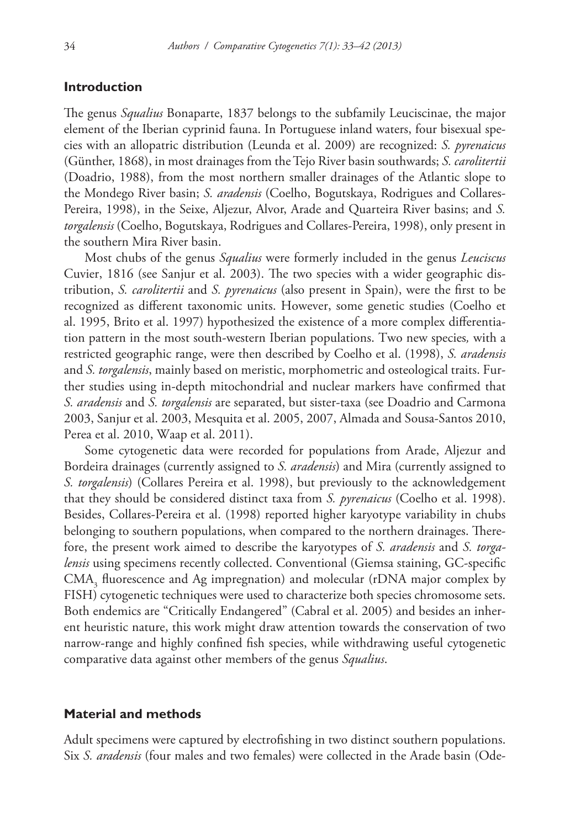## **Introduction**

The genus *Squalius* Bonaparte, 1837 belongs to the subfamily Leuciscinae, the major element of the Iberian cyprinid fauna. In Portuguese inland waters, four bisexual species with an allopatric distribution (Leunda et al. 2009) are recognized: *S. pyrenaicus* (Günther, 1868), in most drainages from the Tejo River basin southwards; *S. carolitertii* (Doadrio, 1988), from the most northern smaller drainages of the Atlantic slope to the Mondego River basin; *S. aradensis* (Coelho, Bogutskaya, Rodrigues and Collares-Pereira, 1998), in the Seixe, Aljezur, Alvor, Arade and Quarteira River basins; and *S. torgalensis* (Coelho, Bogutskaya, Rodrigues and Collares-Pereira, 1998), only present in the southern Mira River basin.

Most chubs of the genus *Squalius* were formerly included in the genus *Leuciscus* Cuvier, 1816 (see Sanjur et al. 2003). The two species with a wider geographic distribution, *S. carolitertii* and *S. pyrenaicus* (also present in Spain), were the first to be recognized as different taxonomic units. However, some genetic studies (Coelho et al. 1995, Brito et al. 1997) hypothesized the existence of a more complex differentiation pattern in the most south-western Iberian populations. Two new species*,* with a restricted geographic range, were then described by Coelho et al. (1998), *S. aradensis*  and *S. torgalensis*, mainly based on meristic, morphometric and osteological traits. Further studies using in-depth mitochondrial and nuclear markers have confirmed that *S. aradensis* and *S. torgalensis* are separated, but sister-taxa (see Doadrio and Carmona 2003, Sanjur et al. 2003, Mesquita et al. 2005, 2007, Almada and Sousa-Santos 2010, Perea et al. 2010, Waap et al. 2011).

Some cytogenetic data were recorded for populations from Arade, Aljezur and Bordeira drainages (currently assigned to *S. aradensis*) and Mira (currently assigned to *S. torgalensis*) (Collares Pereira et al. 1998), but previously to the acknowledgement that they should be considered distinct taxa from *S. pyrenaicus* (Coelho et al. 1998). Besides, Collares-Pereira et al. (1998) reported higher karyotype variability in chubs belonging to southern populations, when compared to the northern drainages. Therefore, the present work aimed to describe the karyotypes of *S. aradensis* and *S. torgalensis* using specimens recently collected. Conventional (Giemsa staining, GC-specific  $\text{CMA}_3$  fluorescence and Ag impregnation) and molecular (rDNA major complex by FISH) cytogenetic techniques were used to characterize both species chromosome sets. Both endemics are "Critically Endangered" (Cabral et al. 2005) and besides an inherent heuristic nature, this work might draw attention towards the conservation of two narrow-range and highly confined fish species, while withdrawing useful cytogenetic comparative data against other members of the genus *Squalius*.

#### **Material and methods**

Adult specimens were captured by electrofishing in two distinct southern populations. Six *S. aradensis* (four males and two females) were collected in the Arade basin (Ode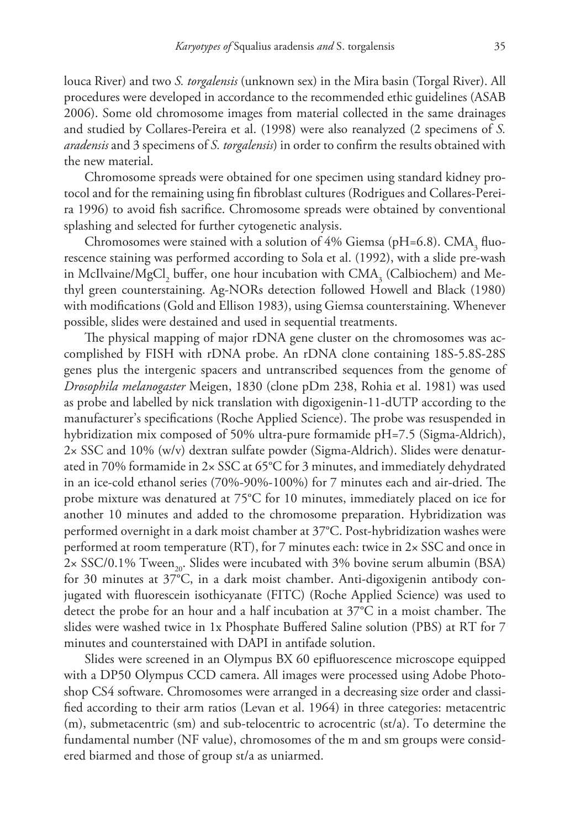louca River) and two *S. torgalensis* (unknown sex) in the Mira basin (Torgal River). All procedures were developed in accordance to the recommended ethic guidelines (ASAB 2006). Some old chromosome images from material collected in the same drainages and studied by Collares-Pereira et al. (1998) were also reanalyzed (2 specimens of *S. aradensis* and 3 specimens of *S. torgalensis*) in order to confirm the results obtained with the new material.

Chromosome spreads were obtained for one specimen using standard kidney protocol and for the remaining using fin fibroblast cultures (Rodrigues and Collares-Pereira 1996) to avoid fish sacrifice. Chromosome spreads were obtained by conventional splashing and selected for further cytogenetic analysis.

Chromosomes were stained with a solution of 4% Giemsa (pH=6.8). CMA<sub>3</sub> fluorescence staining was performed according to Sola et al. (1992), with a slide pre-wash in McIlvaine/MgCl<sub>2</sub> buffer, one hour incubation with  $\text{CMA}_{3}$  (Calbiochem) and Methyl green counterstaining. Ag-NORs detection followed Howell and Black (1980) with modifications (Gold and Ellison 1983), using Giemsa counterstaining. Whenever possible, slides were destained and used in sequential treatments.

The physical mapping of major rDNA gene cluster on the chromosomes was accomplished by FISH with rDNA probe. An rDNA clone containing 18S-5.8S-28S genes plus the intergenic spacers and untranscribed sequences from the genome of *Drosophila melanogaster* Meigen, 1830 (clone pDm 238, Rohia et al. 1981) was used as probe and labelled by nick translation with digoxigenin-11-dUTP according to the manufacturer's specifications (Roche Applied Science). The probe was resuspended in hybridization mix composed of 50% ultra-pure formamide pH=7.5 (Sigma-Aldrich), 2× SSC and 10% (w/v) dextran sulfate powder (Sigma-Aldrich). Slides were denaturated in 70% formamide in 2× SSC at 65°C for 3 minutes, and immediately dehydrated in an ice-cold ethanol series (70%-90%-100%) for 7 minutes each and air-dried. The probe mixture was denatured at 75°C for 10 minutes, immediately placed on ice for another 10 minutes and added to the chromosome preparation. Hybridization was performed overnight in a dark moist chamber at 37°C. Post-hybridization washes were performed at room temperature (RT), for 7 minutes each: twice in 2× SSC and once in  $2 \times$  SSC/0.1% Tween<sub>20</sub>. Slides were incubated with 3% bovine serum albumin (BSA) for 30 minutes at 37°C, in a dark moist chamber. Anti-digoxigenin antibody conjugated with fluorescein isothicyanate (FITC) (Roche Applied Science) was used to detect the probe for an hour and a half incubation at 37°C in a moist chamber. The slides were washed twice in 1x Phosphate Buffered Saline solution (PBS) at RT for 7 minutes and counterstained with DAPI in antifade solution.

Slides were screened in an Olympus BX 60 epifluorescence microscope equipped with a DP50 Olympus CCD camera. All images were processed using Adobe Photoshop CS4 software. Chromosomes were arranged in a decreasing size order and classified according to their arm ratios (Levan et al. 1964) in three categories: metacentric  $(m)$ , submetacentric (sm) and sub-telocentric to acrocentric (st/a). To determine the fundamental number (NF value), chromosomes of the m and sm groups were considered biarmed and those of group st/a as uniarmed.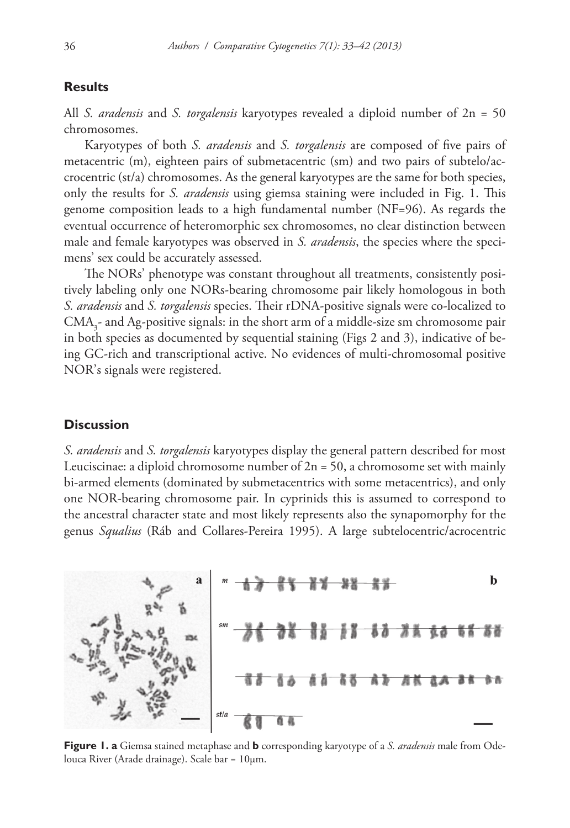## **Results**

All *S. aradensis* and *S. torgalensis* karyotypes revealed a diploid number of 2n = 50 chromosomes.

Karyotypes of both *S. aradensis* and *S. torgalensis* are composed of five pairs of metacentric (m), eighteen pairs of submetacentric (sm) and two pairs of subtelo/accrocentric (st/a) chromosomes. As the general karyotypes are the same for both species, only the results for *S. aradensis* using giemsa staining were included in Fig. 1. This genome composition leads to a high fundamental number (NF=96). As regards the eventual occurrence of heteromorphic sex chromosomes, no clear distinction between male and female karyotypes was observed in *S. aradensis*, the species where the specimens' sex could be accurately assessed.

The NORs' phenotype was constant throughout all treatments, consistently positively labeling only one NORs-bearing chromosome pair likely homologous in both *S. aradensis* and *S. torgalensis* species. Their rDNA-positive signals were co-localized to  $\text{CMA}_3$ - and Ag-positive signals: in the short arm of a middle-size sm chromosome pair in both species as documented by sequential staining (Figs 2 and 3), indicative of being GC-rich and transcriptional active. No evidences of multi-chromosomal positive NOR's signals were registered.

# **Discussion**

*S. aradensis* and *S. torgalensis* karyotypes display the general pattern described for most Leuciscinae: a diploid chromosome number of  $2n = 50$ , a chromosome set with mainly bi-armed elements (dominated by submetacentrics with some metacentrics), and only one NOR-bearing chromosome pair. In cyprinids this is assumed to correspond to the ancestral character state and most likely represents also the synapomorphy for the genus *Squalius* (Ráb and Collares-Pereira 1995). A large subtelocentric/acrocentric



**Figure 1. a** Giemsa stained metaphase and **b** corresponding karyotype of a *S. aradensis* male from Odelouca River (Arade drainage). Scale bar = 10µm.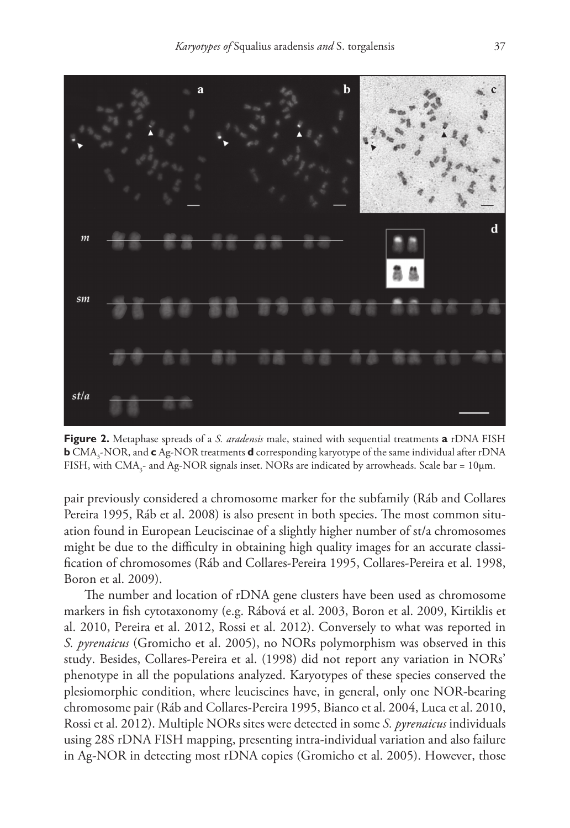

**Figure 2.** Metaphase spreads of a *S. aradensis* male, stained with sequential treatments **a** rDNA FISH **b** CMA3 -NOR, and **c** Ag-NOR treatments **d** corresponding karyotype of the same individual after rDNA FISH, with  $\text{CMA}_{3}$ - and Ag-NOR signals inset. NORs are indicated by arrowheads. Scale bar = 10 $\mu$ m.

pair previously considered a chromosome marker for the subfamily (Ráb and Collares Pereira 1995, Ráb et al. 2008) is also present in both species. The most common situation found in European Leuciscinae of a slightly higher number of st/a chromosomes might be due to the difficulty in obtaining high quality images for an accurate classification of chromosomes (Ráb and Collares-Pereira 1995, Collares-Pereira et al. 1998, Boron et al. 2009).

The number and location of rDNA gene clusters have been used as chromosome markers in fish cytotaxonomy (e.g. Rábová et al. 2003, Boron et al. 2009, Kirtiklis et al. 2010, Pereira et al. 2012, Rossi et al. 2012). Conversely to what was reported in *S. pyrenaicus* (Gromicho et al. 2005), no NORs polymorphism was observed in this study. Besides, Collares-Pereira et al. (1998) did not report any variation in NORs' phenotype in all the populations analyzed. Karyotypes of these species conserved the plesiomorphic condition, where leuciscines have, in general, only one NOR-bearing chromosome pair (Ráb and Collares-Pereira 1995, Bianco et al. 2004, Luca et al. 2010, Rossi et al. 2012). Multiple NORs sites were detected in some *S. pyrenaicus* individuals using 28S rDNA FISH mapping, presenting intra-individual variation and also failure in Ag-NOR in detecting most rDNA copies (Gromicho et al. 2005). However, those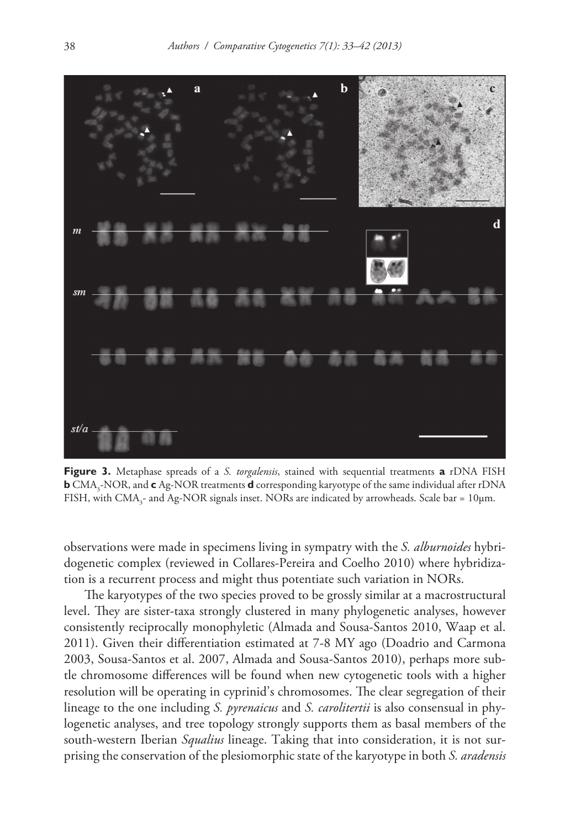

**Figure 3.** Metaphase spreads of a *S. torgalensis*, stained with sequential treatments **a** rDNA FISH **b** CMA3 -NOR, and **c** Ag-NOR treatments **d** corresponding karyotype of the same individual after rDNA FISH, with CMA<sub>3</sub>- and Ag-NOR signals inset. NORs are indicated by arrowheads. Scale bar = 10 $\mu$ m.

observations were made in specimens living in sympatry with the *S. alburnoides* hybridogenetic complex (reviewed in Collares-Pereira and Coelho 2010) where hybridization is a recurrent process and might thus potentiate such variation in NORs.

The karyotypes of the two species proved to be grossly similar at a macrostructural level. They are sister-taxa strongly clustered in many phylogenetic analyses, however consistently reciprocally monophyletic (Almada and Sousa-Santos 2010, Waap et al. 2011). Given their differentiation estimated at 7-8 MY ago (Doadrio and Carmona 2003, Sousa-Santos et al. 2007, Almada and Sousa-Santos 2010), perhaps more subtle chromosome differences will be found when new cytogenetic tools with a higher resolution will be operating in cyprinid's chromosomes. The clear segregation of their lineage to the one including *S. pyrenaicus* and *S. carolitertii* is also consensual in phylogenetic analyses, and tree topology strongly supports them as basal members of the south-western Iberian *Squalius* lineage. Taking that into consideration, it is not surprising the conservation of the plesiomorphic state of the karyotype in both *S. aradensis*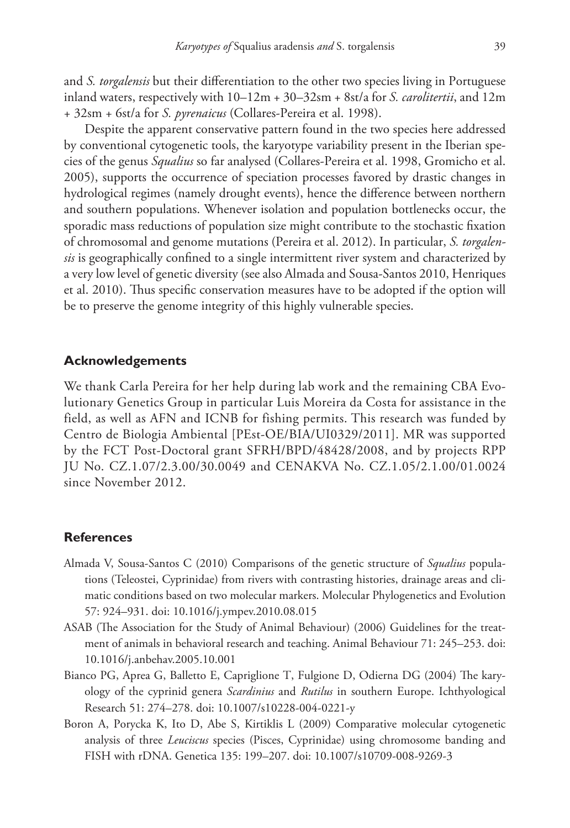and *S. torgalensis* but their differentiation to the other two species living in Portuguese inland waters, respectively with 10–12m + 30–32sm + 8st/a for *S. carolitertii*, and 12m + 32sm + 6st/a for *S. pyrenaicus* (Collares-Pereira et al. 1998).

Despite the apparent conservative pattern found in the two species here addressed by conventional cytogenetic tools, the karyotype variability present in the Iberian species of the genus *Squalius* so far analysed (Collares-Pereira et al. 1998, Gromicho et al. 2005), supports the occurrence of speciation processes favored by drastic changes in hydrological regimes (namely drought events), hence the difference between northern and southern populations. Whenever isolation and population bottlenecks occur, the sporadic mass reductions of population size might contribute to the stochastic fixation of chromosomal and genome mutations (Pereira et al. 2012). In particular, *S. torgalensis* is geographically confined to a single intermittent river system and characterized by a very low level of genetic diversity (see also Almada and Sousa-Santos 2010, Henriques et al. 2010). Thus specific conservation measures have to be adopted if the option will be to preserve the genome integrity of this highly vulnerable species.

## **Acknowledgements**

We thank Carla Pereira for her help during lab work and the remaining CBA Evolutionary Genetics Group in particular Luis Moreira da Costa for assistance in the field, as well as AFN and ICNB for fishing permits. This research was funded by Centro de Biologia Ambiental [PEst-OE/BIA/UI0329/2011]. MR was supported by the FCT Post-Doctoral grant SFRH/BPD/48428/2008, and by projects RPP JU No. CZ.1.07/2.3.00/30.0049 and CENAKVA No. CZ.1.05/2.1.00/01.0024 since November 2012.

#### **References**

- Almada V, Sousa-Santos C (2010) Comparisons of the genetic structure of *Squalius* populations (Teleostei, Cyprinidae) from rivers with contrasting histories, drainage areas and climatic conditions based on two molecular markers. Molecular Phylogenetics and Evolution 57: 924–931. [doi: 10.1016/j.ympev.2010.08.015](http://dx.doi.org/10.1016/j.ympev.2010.08.015)
- ASAB (The Association for the Study of Animal Behaviour) (2006) Guidelines for the treatment of animals in behavioral research and teaching. Animal Behaviour 71: 245–253. [doi:](http://dx.doi.org/10.1016/j.anbehav.2005.10.001) [10.1016/j.anbehav.2005.10.001](http://dx.doi.org/10.1016/j.anbehav.2005.10.001)
- Bianco PG, Aprea G, Balletto E, Capriglione T, Fulgione D, Odierna DG (2004) The karyology of the cyprinid genera *Scardinius* and *Rutilus* in southern Europe. Ichthyological Research 51: 274–278. [doi: 10.1007/s10228-004-0221-y](http://dx.doi.org/10.1007/s10228-004-0221-y)
- Boron A, Porycka K, Ito D, Abe S, Kirtiklis L (2009) Comparative molecular cytogenetic analysis of three *Leuciscus* species (Pisces, Cyprinidae) using chromosome banding and FISH with rDNA. Genetica 135: 199–207. [doi: 10.1007/s10709-008-9269-3](http://dx.doi.org/10.1007/s10709-008-9269-3)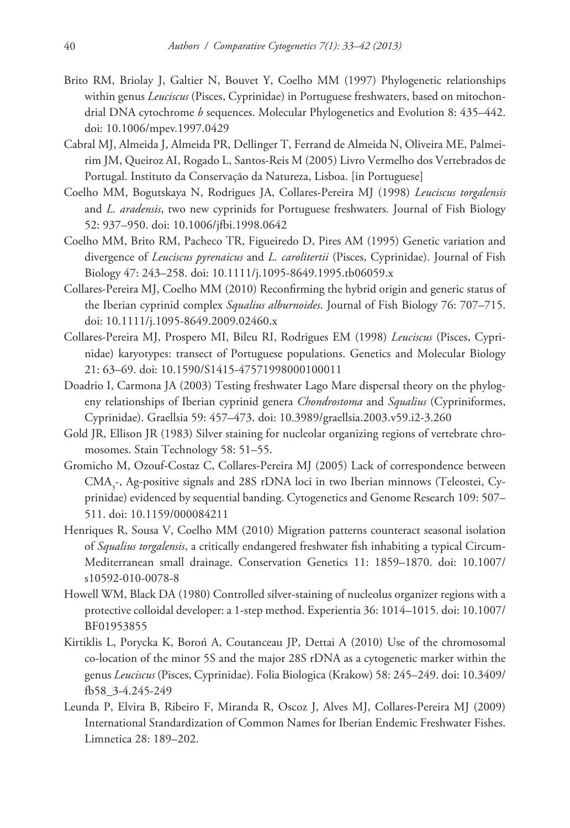- Brito RM, Briolay J, Galtier N, Bouvet Y, Coelho MM (1997) Phylogenetic relationships within genus *Leuciscus* (Pisces, Cyprinidae) in Portuguese freshwaters, based on mitochondrial DNA cytochrome *b* sequences. Molecular Phylogenetics and Evolution 8: 435–442. [doi: 10.1006/mpev.1997.0429](http://dx.doi.org/10.1006/mpev.1997.0429)
- Cabral MJ, Almeida J, Almeida PR, Dellinger T, Ferrand de Almeida N, Oliveira ME, Palmeirim JM, Queiroz AI, Rogado L, Santos-Reis M (2005) Livro Vermelho dos Vertebrados de Portugal. Instituto da Conservação da Natureza, Lisboa. [in Portuguese]
- Coelho MM, Bogutskaya N, Rodrigues JA, Collares-Pereira MJ (1998) *Leuciscus torgalensis* and *L. aradensis*, two new cyprinids for Portuguese freshwaters*.* Journal of Fish Biology 52: 937–950. [doi: 10.1006/jfbi.1998.0642](http://dx.doi.org/10.1006/jfbi.1998.0642)
- Coelho MM, Brito RM, Pacheco TR, Figueiredo D, Pires AM (1995) Genetic variation and divergence of *Leuciscus pyrenaicus* and *L. carolitertii* (Pisces, Cyprinidae). Journal of Fish Biology 47: 243–258. [doi: 10.1111/j.1095-8649.1995.tb06059.x](http://dx.doi.org/10.1111/j.1095-8649.1995.tb06059.x)
- Collares-Pereira MJ, Coelho MM (2010) Reconfirming the hybrid origin and generic status of the Iberian cyprinid complex *Squalius alburnoides*. Journal of Fish Biology 76: 707–715. [doi: 10.1111/j.1095-8649.2009.02460.x](http://dx.doi.org/10.1111/j.1095-8649.2009.02460.x)
- Collares-Pereira MJ, Prospero MI, Bileu RI, Rodrigues EM (1998) *Leuciscus* (Pisces, Cyprinidae) karyotypes: transect of Portuguese populations. Genetics and Molecular Biology 21: 63–69. [doi: 10.1590/S1415-47571998000100011](http://dx.doi.org/10.1590/S1415-47571998000100011)
- Doadrio I, Carmona JA (2003) Testing freshwater Lago Mare dispersal theory on the phylogeny relationships of Iberian cyprinid genera *Chondrostoma* and *Squalius* (Cypriniformes, Cyprinidae). Graellsia 59: 457–473. [doi: 10.3989/graellsia.2003.v59.i2-3.260](http://dx.doi.org/10.3989/graellsia.2003.v59.i2-3.260)
- Gold JR, Ellison JR (1983) Silver staining for nucleolar organizing regions of vertebrate chromosomes. Stain Technology 58: 51–55.
- Gromicho M, Ozouf-Costaz C, Collares-Pereira MJ (2005) Lack of correspondence between  $\text{CMA}_{3}$ -, Ag-positive signals and 28S rDNA loci in two Iberian minnows (Teleostei, Cyprinidae) evidenced by sequential banding. Cytogenetics and Genome Research 109: 507– 511. [doi: 10.1159/000084211](http://dx.doi.org/10.1159/000084211)
- Henriques R, Sousa V, Coelho MM (2010) Migration patterns counteract seasonal isolation of *Squalius torgalensis*, a critically endangered freshwater fish inhabiting a typical Circum-Mediterranean small drainage. Conservation Genetics 11: 1859–1870. [doi: 10.1007/](http://dx.doi.org/10.1007/s10592-010-0078-8) [s10592-010-0078-8](http://dx.doi.org/10.1007/s10592-010-0078-8)
- Howell WM, Black DA (1980) Controlled silver-staining of nucleolus organizer regions with a protective colloidal developer: a 1-step method. Experientia 36: 1014–1015. [doi: 10.1007/](http://dx.doi.org/10.1007/BF01953855) [BF01953855](http://dx.doi.org/10.1007/BF01953855)
- Kirtiklis L, Porycka K, Boroń A, Coutanceau JP, Dettai A (2010) Use of the chromosomal co-location of the minor 5S and the major 28S rDNA as a cytogenetic marker within the genus *Leuciscus* (Pisces, Cyprinidae). Folia Biologica (Krakow) 58: 245–249. [doi: 10.3409/](http://dx.doi.org/10.3409/fb58_3-4.245-249) [fb58\\_3-4.245-249](http://dx.doi.org/10.3409/fb58_3-4.245-249)
- Leunda P, Elvira B, Ribeiro F, Miranda R, Oscoz J, Alves MJ, Collares-Pereira MJ (2009) International Standardization of Common Names for Iberian Endemic Freshwater Fishes. Limnetica 28: 189–202.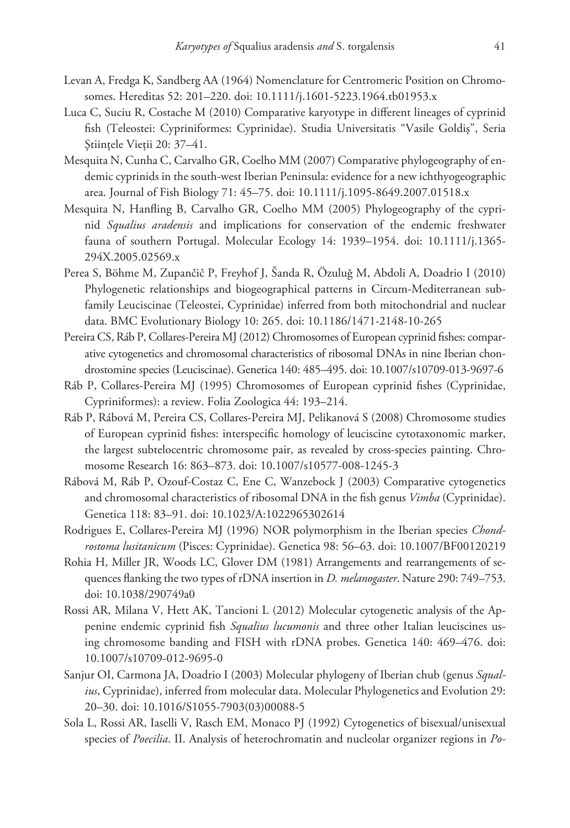- Levan A, Fredga K, Sandberg AA (1964) Nomenclature for Centromeric Position on Chromosomes. Hereditas 52: 201–220. [doi: 10.1111/j.1601-5223.1964.tb01953.x](http://dx.doi.org/10.1111/j.1601-5223.1964.tb01953.x)
- Luca C, Suciu R, Costache M (2010) Comparative karyotype in different lineages of cyprinid fish (Teleostei: Cypriniformes: Cyprinidae). Studia Universitatis "Vasile Goldiş", Seria Ştiinţele Vieţii 20: 37–41.
- Mesquita N, Cunha C, Carvalho GR, Coelho MM (2007) Comparative phylogeography of endemic cyprinids in the south-west Iberian Peninsula: evidence for a new ichthyogeographic area. Journal of Fish Biology 71: 45–75. [doi: 10.1111/j.1095-8649.2007.01518.x](http://dx.doi.org/10.1111/j.1095-8649.2007.01518.x)
- Mesquita N, Hanfling B, Carvalho GR, Coelho MM (2005) Phylogeography of the cyprinid *Squalius aradensis* and implications for conservation of the endemic freshwater fauna of southern Portugal. Molecular Ecology 14: 1939–1954. [doi: 10.1111/j.1365-](http://dx.doi.org/10.1111/j.1365-294X.2005.02569.x) [294X.2005.02569.x](http://dx.doi.org/10.1111/j.1365-294X.2005.02569.x)
- Perea S, Böhme M, Zupančič P, Freyhof J, Šanda R, Özuluğ M, Abdoli A, Doadrio I (2010) Phylogenetic relationships and biogeographical patterns in Circum-Mediterranean subfamily Leuciscinae (Teleostei, Cyprinidae) inferred from both mitochondrial and nuclear data. BMC Evolutionary Biology 10: 265. [doi: 10.1186/1471-2148-10-265](http://dx.doi.org/10.1186/1471-2148-10-265)
- Pereira CS, Ráb P, Collares-Pereira MJ (2012) Chromosomes of European cyprinid fishes: comparative cytogenetics and chromosomal characteristics of ribosomal DNAs in nine Iberian chondrostomine species (Leuciscinae). Genetica 140: 485–495. [doi: 10.1007/s10709-013-9697-6](http://dx.doi.org/10.1007/s10709-013-9697-6)
- Ráb P, Collares-Pereira MJ (1995) Chromosomes of European cyprinid fishes (Cyprinidae, Cypriniformes): a review. Folia Zoologica 44: 193–214.
- Ráb P, Rábová M, Pereira CS, Collares-Pereira MJ, Pelikanová S (2008) Chromosome studies of European cyprinid fishes: interspecific homology of leuciscine cytotaxonomic marker, the largest subtelocentric chromosome pair, as revealed by cross-species painting. Chromosome Research 16: 863–873. [doi: 10.1007/s10577-008-1245-3](http://dx.doi.org/10.1007/s10577-008-1245-3)
- Rábová M, Ráb P, Ozouf-Costaz C, Ene C, Wanzebock J (2003) Comparative cytogenetics and chromosomal characteristics of ribosomal DNA in the fish genus *Vimba* (Cyprinidae). Genetica 118: 83–91. [doi: 10.1023/A:1022965302614](http://dx.doi.org/10.1023/A:1022965302614)
- Rodrigues E, Collares-Pereira MJ (1996) NOR polymorphism in the Iberian species *Chondrostoma lusitanicum* (Pisces: Cyprinidae). Genetica 98: 56–63. [doi: 10.1007/BF00120219](http://dx.doi.org/10.1007/BF00120219)
- Rohia H, Miller JR, Woods LC, Glover DM (1981) Arrangements and rearrangements of sequences flanking the two types of rDNA insertion in *D. melanogaster*. Nature 290: 749–753. [doi: 10.1038/290749a0](http://dx.doi.org/10.1038/290749a0)
- Rossi AR, Milana V, Hett AK, Tancioni L (2012) Molecular cytogenetic analysis of the Appenine endemic cyprinid fish *Squalius lucumonis* and three other Italian leuciscines using chromosome banding and FISH with rDNA probes. Genetica 140: 469–476. [doi:](http://dx.doi.org/10.1007/s10709-012-9695-0) [10.1007/s10709-012-9695-0](http://dx.doi.org/10.1007/s10709-012-9695-0)
- Sanjur OI, Carmona JA, Doadrio I (2003) Molecular phylogeny of Iberian chub (genus *Squalius*, Cyprinidae), inferred from molecular data. Molecular Phylogenetics and Evolution 29: 20–30. [doi: 10.1016/S1055-7903\(03\)00088-5](http://dx.doi.org/10.1016/S1055-7903(03)00088-5)
- Sola L, Rossi AR, Iaselli V, Rasch EM, Monaco PJ (1992) Cytogenetics of bisexual/unisexual species of *Poecilia*. II. Analysis of heterochromatin and nucleolar organizer regions in *Po-*